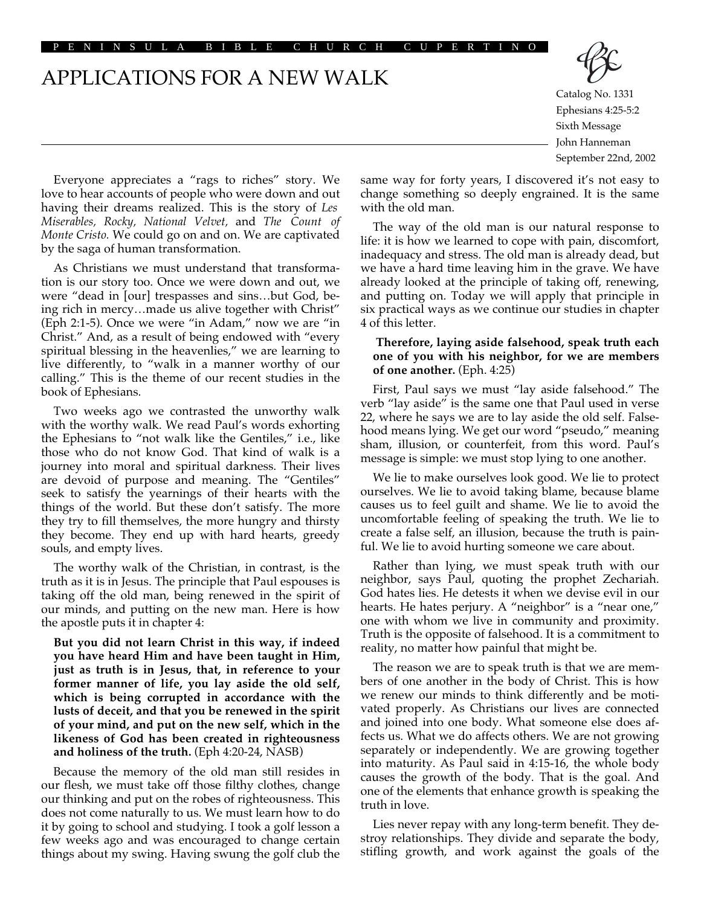ENINSULA BIBLE CHURCH CUPER

APPLICATIONS FOR A NEW WALK



Catalog No. 1331 Ephesians 4:25-5:2 Sixth Message John Hanneman September 22nd, 2002

Everyone appreciates a "rags to riches" story. We love to hear accounts of people who were down and out having their dreams realized. This is the story of *Les Miserables, Rocky, National Velvet,* and *The Count of Monte Cristo.* We could go on and on. We are captivated by the saga of human transformation.

As Christians we must understand that transformation is our story too. Once we were down and out, we were "dead in [our] trespasses and sins…but God, being rich in mercy…made us alive together with Christ" (Eph 2:1-5). Once we were "in Adam," now we are "in Christ." And, as a result of being endowed with "every spiritual blessing in the heavenlies," we are learning to live differently, to "walk in a manner worthy of our calling." This is the theme of our recent studies in the book of Ephesians.

Two weeks ago we contrasted the unworthy walk with the worthy walk. We read Paul's words exhorting the Ephesians to "not walk like the Gentiles," i.e., like those who do not know God. That kind of walk is a journey into moral and spiritual darkness. Their lives are devoid of purpose and meaning. The "Gentiles" seek to satisfy the yearnings of their hearts with the things of the world. But these don't satisfy. The more they try to fill themselves, the more hungry and thirsty they become. They end up with hard hearts, greedy souls, and empty lives.

The worthy walk of the Christian, in contrast, is the truth as it is in Jesus. The principle that Paul espouses is taking off the old man, being renewed in the spirit of our minds, and putting on the new man. Here is how the apostle puts it in chapter 4:

**But you did not learn Christ in this way, if indeed you have heard Him and have been taught in Him, just as truth is in Jesus, that, in reference to your former manner of life, you lay aside the old self, which is being corrupted in accordance with the lusts of deceit, and that you be renewed in the spirit of your mind, and put on the new self, which in the likeness of God has been created in righteousness and holiness of the truth.** (Eph 4:20-24, NASB)

Because the memory of the old man still resides in our flesh, we must take off those filthy clothes, change our thinking and put on the robes of righteousness. This does not come naturally to us. We must learn how to do it by going to school and studying. I took a golf lesson a few weeks ago and was encouraged to change certain things about my swing. Having swung the golf club the

same way for forty years, I discovered it's not easy to change something so deeply engrained. It is the same with the old man.

The way of the old man is our natural response to life: it is how we learned to cope with pain, discomfort, inadequacy and stress. The old man is already dead, but we have a hard time leaving him in the grave. We have already looked at the principle of taking off, renewing, and putting on. Today we will apply that principle in six practical ways as we continue our studies in chapter 4 of this letter.

## **Therefore, laying aside falsehood, speak truth each one of you with his neighbor, for we are members of one another.** (Eph. 4:25)

First, Paul says we must "lay aside falsehood." The verb "lay aside" is the same one that Paul used in verse 22, where he says we are to lay aside the old self. Falsehood means lying. We get our word "pseudo," meaning sham, illusion, or counterfeit, from this word. Paul's message is simple: we must stop lying to one another.

We lie to make ourselves look good. We lie to protect ourselves. We lie to avoid taking blame, because blame causes us to feel guilt and shame. We lie to avoid the uncomfortable feeling of speaking the truth. We lie to create a false self, an illusion, because the truth is painful. We lie to avoid hurting someone we care about.

Rather than lying, we must speak truth with our neighbor, says Paul, quoting the prophet Zechariah. God hates lies. He detests it when we devise evil in our hearts. He hates perjury. A "neighbor" is a "near one," one with whom we live in community and proximity. Truth is the opposite of falsehood. It is a commitment to reality, no matter how painful that might be.

The reason we are to speak truth is that we are members of one another in the body of Christ. This is how we renew our minds to think differently and be motivated properly. As Christians our lives are connected and joined into one body. What someone else does affects us. What we do affects others. We are not growing separately or independently. We are growing together into maturity. As Paul said in 4:15-16, the whole body causes the growth of the body. That is the goal. And one of the elements that enhance growth is speaking the truth in love.

Lies never repay with any long-term benefit. They destroy relationships. They divide and separate the body, stifling growth, and work against the goals of the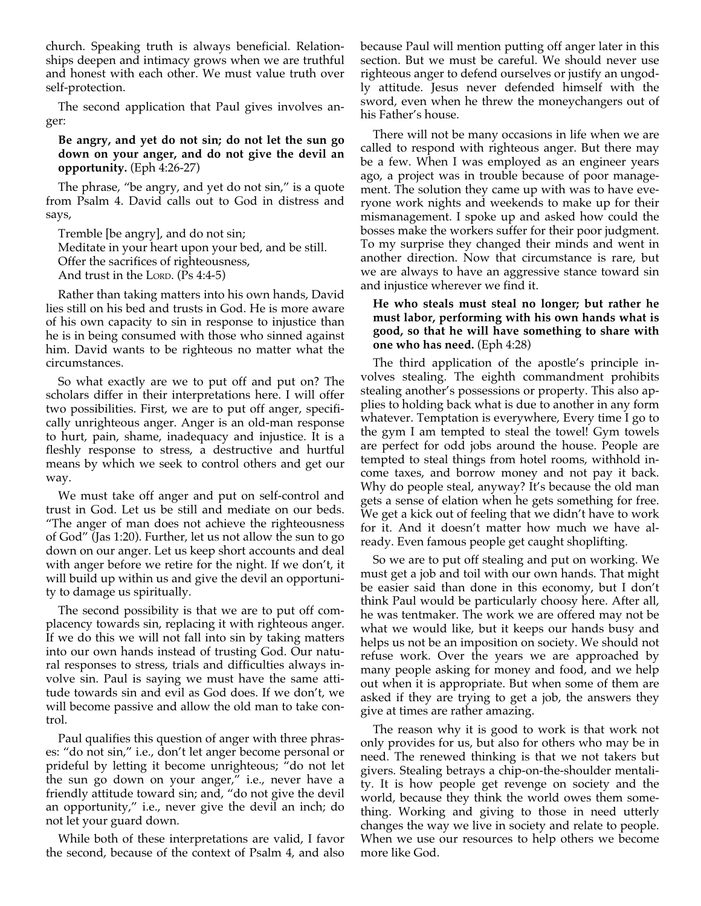church. Speaking truth is always beneficial. Relationships deepen and intimacy grows when we are truthful and honest with each other. We must value truth over self-protection.

The second application that Paul gives involves anger:

**Be angry, and yet do not sin; do not let the sun go down on your anger, and do not give the devil an opportunity.** (Eph 4:26-27)

The phrase, "be angry, and yet do not sin," is a quote from Psalm 4. David calls out to God in distress and says,

Tremble [be angry], and do not sin; Meditate in your heart upon your bed, and be still. Offer the sacrifices of righteousness, And trust in the LORD. (Ps 4:4-5)

Rather than taking matters into his own hands, David lies still on his bed and trusts in God. He is more aware of his own capacity to sin in response to injustice than he is in being consumed with those who sinned against him. David wants to be righteous no matter what the circumstances.

So what exactly are we to put off and put on? The scholars differ in their interpretations here. I will offer two possibilities. First, we are to put off anger, specifically unrighteous anger. Anger is an old-man response to hurt, pain, shame, inadequacy and injustice. It is a fleshly response to stress, a destructive and hurtful means by which we seek to control others and get our way.

We must take off anger and put on self-control and trust in God. Let us be still and mediate on our beds. "The anger of man does not achieve the righteousness of God" (Jas 1:20). Further, let us not allow the sun to go down on our anger. Let us keep short accounts and deal with anger before we retire for the night. If we don't, it will build up within us and give the devil an opportunity to damage us spiritually.

The second possibility is that we are to put off complacency towards sin, replacing it with righteous anger. If we do this we will not fall into sin by taking matters into our own hands instead of trusting God. Our natural responses to stress, trials and difficulties always involve sin. Paul is saying we must have the same attitude towards sin and evil as God does. If we don't, we will become passive and allow the old man to take control.

Paul qualifies this question of anger with three phrases: "do not sin," i.e., don't let anger become personal or prideful by letting it become unrighteous; "do not let the sun go down on your anger," i.e., never have a friendly attitude toward sin; and, "do not give the devil an opportunity," i.e., never give the devil an inch; do not let your guard down.

While both of these interpretations are valid, I favor the second, because of the context of Psalm 4, and also because Paul will mention putting off anger later in this section. But we must be careful. We should never use righteous anger to defend ourselves or justify an ungodly attitude. Jesus never defended himself with the sword, even when he threw the moneychangers out of his Father's house.

There will not be many occasions in life when we are called to respond with righteous anger. But there may be a few. When I was employed as an engineer years ago, a project was in trouble because of poor management. The solution they came up with was to have everyone work nights and weekends to make up for their mismanagement. I spoke up and asked how could the bosses make the workers suffer for their poor judgment. To my surprise they changed their minds and went in another direction. Now that circumstance is rare, but we are always to have an aggressive stance toward sin and injustice wherever we find it.

# **He who steals must steal no longer; but rather he must labor, performing with his own hands what is good, so that he will have something to share with one who has need.** (Eph 4:28)

The third application of the apostle's principle involves stealing. The eighth commandment prohibits stealing another's possessions or property. This also applies to holding back what is due to another in any form whatever. Temptation is everywhere, Every time I go to the gym I am tempted to steal the towel! Gym towels are perfect for odd jobs around the house. People are tempted to steal things from hotel rooms, withhold income taxes, and borrow money and not pay it back. Why do people steal, anyway? It's because the old man gets a sense of elation when he gets something for free. We get a kick out of feeling that we didn't have to work for it. And it doesn't matter how much we have already. Even famous people get caught shoplifting.

So we are to put off stealing and put on working. We must get a job and toil with our own hands. That might be easier said than done in this economy, but I don't think Paul would be particularly choosy here. After all, he was tentmaker. The work we are offered may not be what we would like, but it keeps our hands busy and helps us not be an imposition on society. We should not refuse work. Over the years we are approached by many people asking for money and food, and we help out when it is appropriate. But when some of them are asked if they are trying to get a job, the answers they give at times are rather amazing.

The reason why it is good to work is that work not only provides for us, but also for others who may be in need. The renewed thinking is that we not takers but givers. Stealing betrays a chip-on-the-shoulder mentality. It is how people get revenge on society and the world, because they think the world owes them something. Working and giving to those in need utterly changes the way we live in society and relate to people. When we use our resources to help others we become more like God.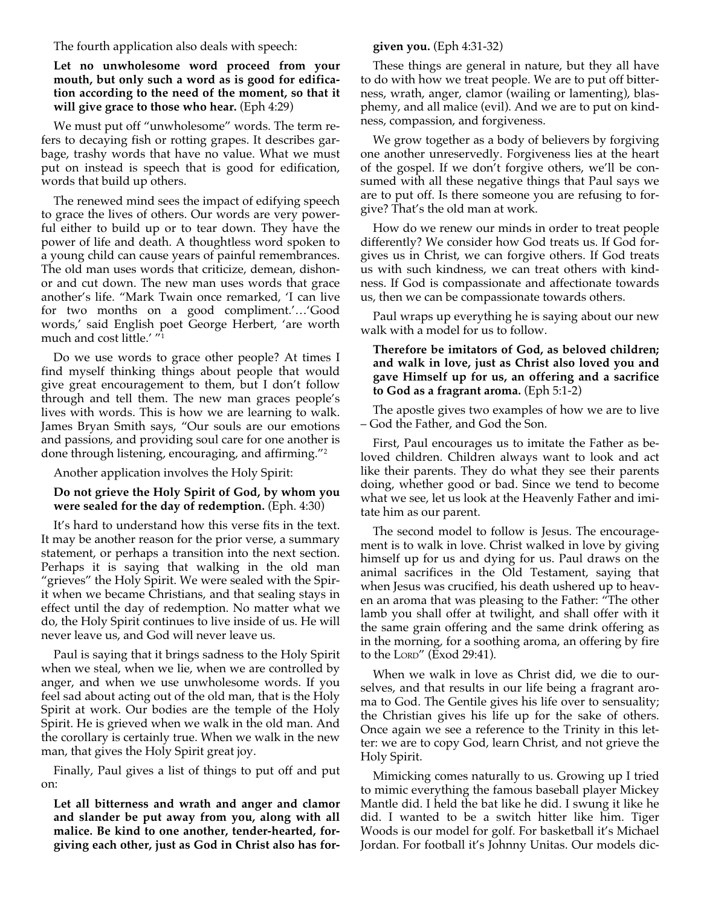The fourth application also deals with speech:

# **Let no unwholesome word proceed from your mouth, but only such a word as is good for edification according to the need of the moment, so that it will give grace to those who hear.** (Eph 4:29)

We must put off "unwholesome" words. The term refers to decaying fish or rotting grapes. It describes garbage, trashy words that have no value. What we must put on instead is speech that is good for edification, words that build up others.

The renewed mind sees the impact of edifying speech to grace the lives of others. Our words are very powerful either to build up or to tear down. They have the power of life and death. A thoughtless word spoken to a young child can cause years of painful remembrances. The old man uses words that criticize, demean, dishonor and cut down. The new man uses words that grace another's life. "Mark Twain once remarked, 'I can live for two months on a good compliment.'…'Good words,' said English poet George Herbert, 'are worth much and cost little.' "1

Do we use words to grace other people? At times I find myself thinking things about people that would give great encouragement to them, but I don't follow through and tell them. The new man graces people's lives with words. This is how we are learning to walk. James Bryan Smith says, "Our souls are our emotions and passions, and providing soul care for one another is done through listening, encouraging, and affirming."2

Another application involves the Holy Spirit:

## **Do not grieve the Holy Spirit of God, by whom you were sealed for the day of redemption.** (Eph. 4:30)

It's hard to understand how this verse fits in the text. It may be another reason for the prior verse, a summary statement, or perhaps a transition into the next section. Perhaps it is saying that walking in the old man "grieves" the Holy Spirit. We were sealed with the Spirit when we became Christians, and that sealing stays in effect until the day of redemption. No matter what we do, the Holy Spirit continues to live inside of us. He will never leave us, and God will never leave us.

Paul is saying that it brings sadness to the Holy Spirit when we steal, when we lie, when we are controlled by anger, and when we use unwholesome words. If you feel sad about acting out of the old man, that is the Holy Spirit at work. Our bodies are the temple of the Holy Spirit. He is grieved when we walk in the old man. And the corollary is certainly true. When we walk in the new man, that gives the Holy Spirit great joy.

Finally, Paul gives a list of things to put off and put on:

**Let all bitterness and wrath and anger and clamor and slander be put away from you, along with all malice. Be kind to one another, tender-hearted, forgiving each other, just as God in Christ also has for-**

### **given you.** (Eph 4:31-32)

These things are general in nature, but they all have to do with how we treat people. We are to put off bitterness, wrath, anger, clamor (wailing or lamenting), blasphemy, and all malice (evil). And we are to put on kindness, compassion, and forgiveness.

We grow together as a body of believers by forgiving one another unreservedly. Forgiveness lies at the heart of the gospel. If we don't forgive others, we'll be consumed with all these negative things that Paul says we are to put off. Is there someone you are refusing to forgive? That's the old man at work.

How do we renew our minds in order to treat people differently? We consider how God treats us. If God forgives us in Christ, we can forgive others. If God treats us with such kindness, we can treat others with kindness. If God is compassionate and affectionate towards us, then we can be compassionate towards others.

Paul wraps up everything he is saying about our new walk with a model for us to follow.

### **Therefore be imitators of God, as beloved children; and walk in love, just as Christ also loved you and gave Himself up for us, an offering and a sacrifice to God as a fragrant aroma.** (Eph 5:1-2)

The apostle gives two examples of how we are to live – God the Father, and God the Son.

First, Paul encourages us to imitate the Father as beloved children. Children always want to look and act like their parents. They do what they see their parents doing, whether good or bad. Since we tend to become what we see, let us look at the Heavenly Father and imitate him as our parent.

The second model to follow is Jesus. The encouragement is to walk in love. Christ walked in love by giving himself up for us and dying for us. Paul draws on the animal sacrifices in the Old Testament, saying that when Jesus was crucified, his death ushered up to heaven an aroma that was pleasing to the Father: "The other lamb you shall offer at twilight, and shall offer with it the same grain offering and the same drink offering as in the morning, for a soothing aroma, an offering by fire to the LORD" (Exod 29:41).

When we walk in love as Christ did, we die to ourselves, and that results in our life being a fragrant aroma to God. The Gentile gives his life over to sensuality; the Christian gives his life up for the sake of others. Once again we see a reference to the Trinity in this letter: we are to copy God, learn Christ, and not grieve the Holy Spirit.

Mimicking comes naturally to us. Growing up I tried to mimic everything the famous baseball player Mickey Mantle did. I held the bat like he did. I swung it like he did. I wanted to be a switch hitter like him. Tiger Woods is our model for golf. For basketball it's Michael Jordan. For football it's Johnny Unitas. Our models dic